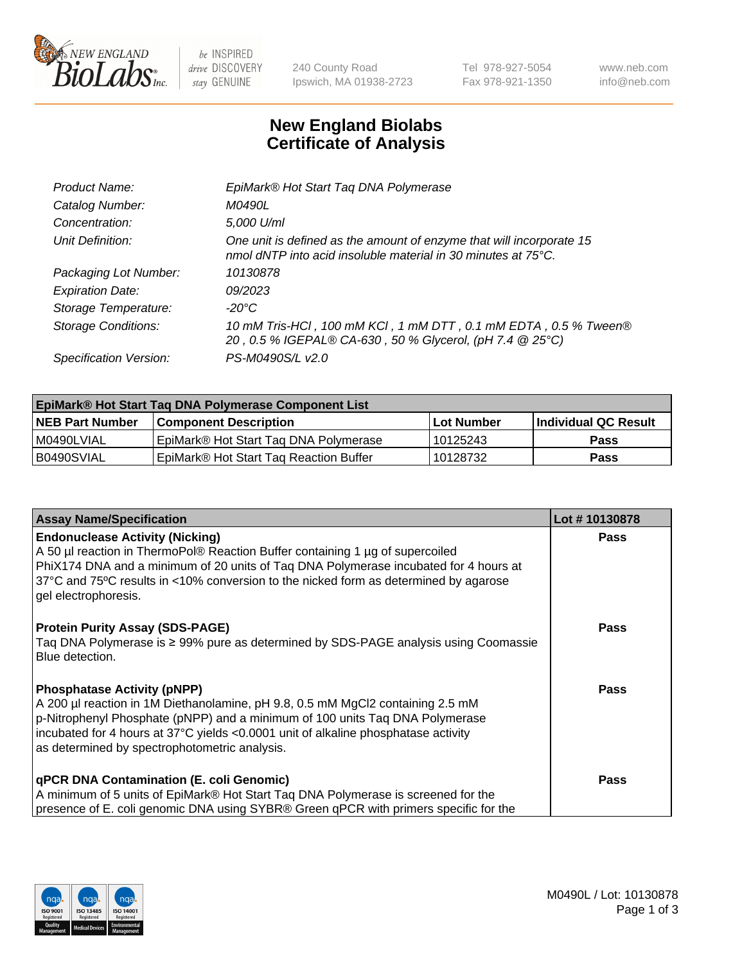

 $be$  INSPIRED drive DISCOVERY stay GENUINE

240 County Road Ipswich, MA 01938-2723 Tel 978-927-5054 Fax 978-921-1350 www.neb.com info@neb.com

## **New England Biolabs Certificate of Analysis**

| EpiMark® Hot Start Tag DNA Polymerase                                                                                                           |
|-------------------------------------------------------------------------------------------------------------------------------------------------|
| M0490L                                                                                                                                          |
| 5,000 U/ml                                                                                                                                      |
| One unit is defined as the amount of enzyme that will incorporate 15<br>nmol dNTP into acid insoluble material in 30 minutes at $75^{\circ}$ C. |
| 10130878                                                                                                                                        |
| 09/2023                                                                                                                                         |
| $-20^{\circ}$ C                                                                                                                                 |
| 10 mM Tris-HCl, 100 mM KCl, 1 mM DTT, 0.1 mM EDTA, 0.5 % Tween®<br>20, 0.5 % IGEPAL® CA-630, 50 % Glycerol, (pH 7.4 @ 25°C)                     |
| PS-M0490S/L v2.0                                                                                                                                |
|                                                                                                                                                 |

| <b>EpiMark® Hot Start Taq DNA Polymerase Component List</b> |                                                    |              |                       |  |  |
|-------------------------------------------------------------|----------------------------------------------------|--------------|-----------------------|--|--|
| <b>NEB Part Number</b>                                      | <b>Component Description</b>                       | l Lot Number | ∣Individual QC Result |  |  |
| I M0490LVIAL                                                | EpiMark® Hot Start Tag DNA Polymerase              | 10125243     | <b>Pass</b>           |  |  |
| B0490SVIAL                                                  | EpiMark <sup>®</sup> Hot Start Tag Reaction Buffer | 10128732     | Pass                  |  |  |

| <b>Assay Name/Specification</b>                                                                                                                                                                                                                                                                                                             | Lot #10130878 |
|---------------------------------------------------------------------------------------------------------------------------------------------------------------------------------------------------------------------------------------------------------------------------------------------------------------------------------------------|---------------|
| <b>Endonuclease Activity (Nicking)</b><br>A 50 µl reaction in ThermoPol® Reaction Buffer containing 1 µg of supercoiled<br>PhiX174 DNA and a minimum of 20 units of Tag DNA Polymerase incubated for 4 hours at<br>37°C and 75°C results in <10% conversion to the nicked form as determined by agarose<br>gel electrophoresis.             | <b>Pass</b>   |
| <b>Protein Purity Assay (SDS-PAGE)</b><br>Taq DNA Polymerase is ≥ 99% pure as determined by SDS-PAGE analysis using Coomassie<br>l Blue detection.                                                                                                                                                                                          | <b>Pass</b>   |
| <b>Phosphatase Activity (pNPP)</b><br>A 200 µl reaction in 1M Diethanolamine, pH 9.8, 0.5 mM MgCl2 containing 2.5 mM<br>p-Nitrophenyl Phosphate (pNPP) and a minimum of 100 units Taq DNA Polymerase<br>incubated for 4 hours at 37°C yields <0.0001 unit of alkaline phosphatase activity<br>as determined by spectrophotometric analysis. | <b>Pass</b>   |
| <b>qPCR DNA Contamination (E. coli Genomic)</b><br>A minimum of 5 units of EpiMark® Hot Start Taq DNA Polymerase is screened for the<br>presence of E. coli genomic DNA using SYBR® Green qPCR with primers specific for the                                                                                                                | <b>Pass</b>   |

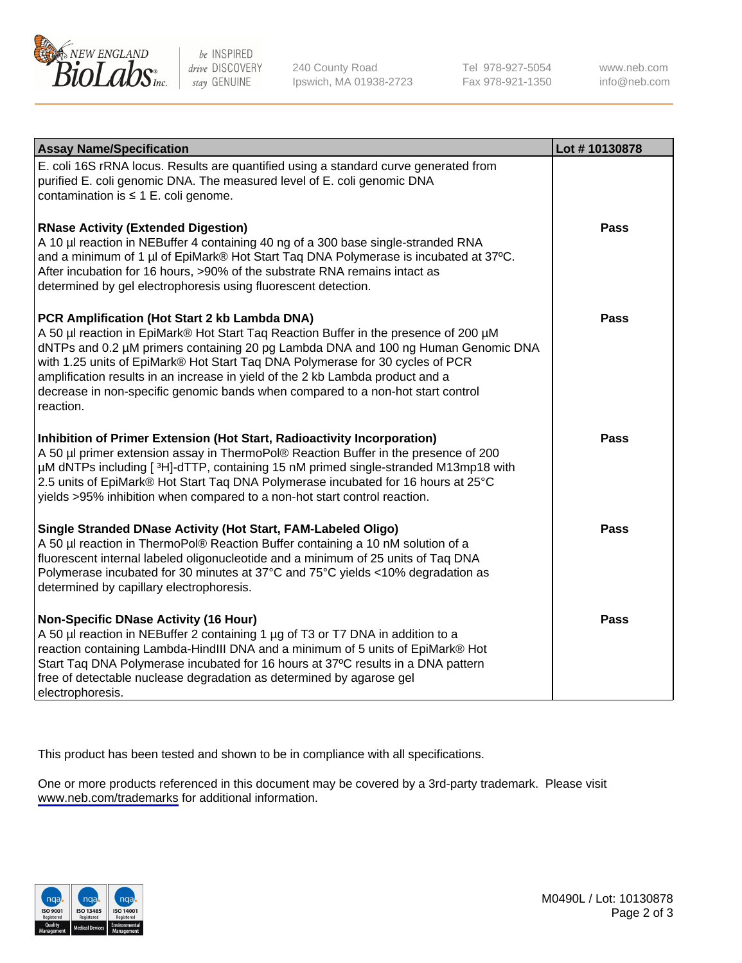

be INSPIRED drive DISCOVERY stay GENUINE

240 County Road Ipswich, MA 01938-2723 Tel 978-927-5054 Fax 978-921-1350

www.neb.com info@neb.com

| <b>Assay Name/Specification</b>                                                                                                                                                                                                                                                                                                                                                                                                                                                               | Lot #10130878 |
|-----------------------------------------------------------------------------------------------------------------------------------------------------------------------------------------------------------------------------------------------------------------------------------------------------------------------------------------------------------------------------------------------------------------------------------------------------------------------------------------------|---------------|
| E. coli 16S rRNA locus. Results are quantified using a standard curve generated from<br>purified E. coli genomic DNA. The measured level of E. coli genomic DNA<br>contamination is $\leq 1$ E. coli genome.                                                                                                                                                                                                                                                                                  |               |
| <b>RNase Activity (Extended Digestion)</b><br>A 10 µl reaction in NEBuffer 4 containing 40 ng of a 300 base single-stranded RNA<br>and a minimum of 1 µl of EpiMark® Hot Start Taq DNA Polymerase is incubated at 37°C.<br>After incubation for 16 hours, >90% of the substrate RNA remains intact as<br>determined by gel electrophoresis using fluorescent detection.                                                                                                                       | Pass          |
| PCR Amplification (Hot Start 2 kb Lambda DNA)<br>A 50 µl reaction in EpiMark® Hot Start Taq Reaction Buffer in the presence of 200 µM<br>dNTPs and 0.2 µM primers containing 20 pg Lambda DNA and 100 ng Human Genomic DNA<br>with 1.25 units of EpiMark® Hot Start Taq DNA Polymerase for 30 cycles of PCR<br>amplification results in an increase in yield of the 2 kb Lambda product and a<br>decrease in non-specific genomic bands when compared to a non-hot start control<br>reaction. | Pass          |
| Inhibition of Primer Extension (Hot Start, Radioactivity Incorporation)<br>A 50 µl primer extension assay in ThermoPol® Reaction Buffer in the presence of 200<br>µM dNTPs including [3H]-dTTP, containing 15 nM primed single-stranded M13mp18 with<br>2.5 units of EpiMark® Hot Start Taq DNA Polymerase incubated for 16 hours at 25°C<br>yields >95% inhibition when compared to a non-hot start control reaction.                                                                        | Pass          |
| Single Stranded DNase Activity (Hot Start, FAM-Labeled Oligo)<br>A 50 µl reaction in ThermoPol® Reaction Buffer containing a 10 nM solution of a<br>fluorescent internal labeled oligonucleotide and a minimum of 25 units of Taq DNA<br>Polymerase incubated for 30 minutes at 37°C and 75°C yields <10% degradation as<br>determined by capillary electrophoresis.                                                                                                                          | <b>Pass</b>   |
| <b>Non-Specific DNase Activity (16 Hour)</b><br>A 50 µl reaction in NEBuffer 2 containing 1 µg of T3 or T7 DNA in addition to a<br>reaction containing Lambda-HindIII DNA and a minimum of 5 units of EpiMark® Hot<br>Start Taq DNA Polymerase incubated for 16 hours at 37°C results in a DNA pattern<br>free of detectable nuclease degradation as determined by agarose gel<br>electrophoresis.                                                                                            | <b>Pass</b>   |

This product has been tested and shown to be in compliance with all specifications.

One or more products referenced in this document may be covered by a 3rd-party trademark. Please visit <www.neb.com/trademarks>for additional information.